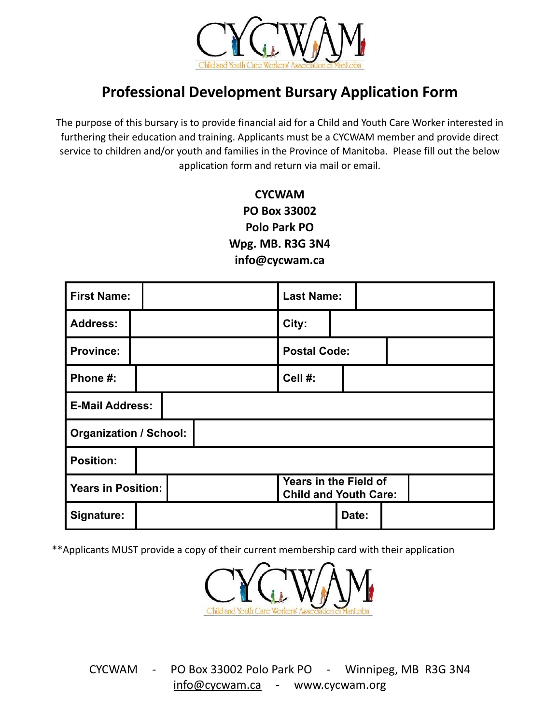

## **Professional Development Bursary Application Form**

The purpose of this bursary is to provide financial aid for a Child and Youth Care Worker interested in furthering their education and training. Applicants must be a CYCWAM member and provide direct service to children and/or youth and families in the Province of Manitoba. Please fill out the below application form and return via mail or email.

## **CYCWAM PO Box 33002 Polo Park PO Wpg. MB. R3G 3N4 info@cycwam.ca**

| <b>First Name:</b>            |  |  |                                                       | <b>Last Name:</b>   |       |  |  |
|-------------------------------|--|--|-------------------------------------------------------|---------------------|-------|--|--|
| <b>Address:</b>               |  |  |                                                       | City:               |       |  |  |
| <b>Province:</b>              |  |  |                                                       | <b>Postal Code:</b> |       |  |  |
| Phone #:                      |  |  |                                                       | Cell #:             |       |  |  |
| <b>E-Mail Address:</b>        |  |  |                                                       |                     |       |  |  |
| <b>Organization / School:</b> |  |  |                                                       |                     |       |  |  |
| <b>Position:</b>              |  |  |                                                       |                     |       |  |  |
| <b>Years in Position:</b>     |  |  | Years in the Field of<br><b>Child and Youth Care:</b> |                     |       |  |  |
| Signature:                    |  |  |                                                       |                     | Date: |  |  |

\*\*Applicants MUST provide a copy of their current membership card with their application



CYCWAM - PO Box 33002 Polo Park PO - Winnipeg, MB R3G 3N4 [info@cycwam.ca](mailto:info@cycwam.ca) - www.cycwam.org